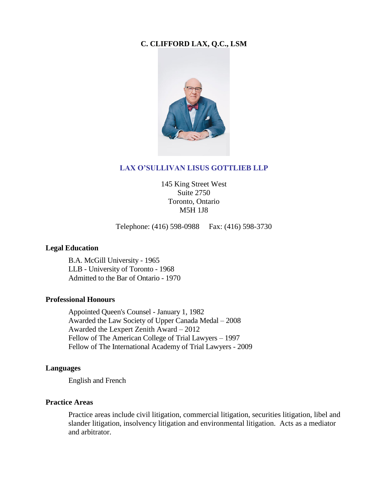## **C. CLIFFORD LAX, Q.C., LSM**



#### **LAX O'SULLIVAN LISUS GOTTLIEB LLP**

145 King Street West Suite 2750 Toronto, Ontario M5H 1J8

Telephone: (416) 598-0988 Fax: (416) 598-3730

#### **Legal Education**

B.A. McGill University - 1965 LLB - University of Toronto - 1968 Admitted to the Bar of Ontario - 1970

#### **Professional Honours**

Appointed Queen's Counsel - January 1, 1982 Awarded the Law Society of Upper Canada Medal – 2008 Awarded the Lexpert Zenith Award – 2012 Fellow of The American College of Trial Lawyers – 1997 Fellow of The International Academy of Trial Lawyers - 2009

#### **Languages**

English and French

#### **Practice Areas**

Practice areas include civil litigation, commercial litigation, securities litigation, libel and slander litigation, insolvency litigation and environmental litigation. Acts as a mediator and arbitrator.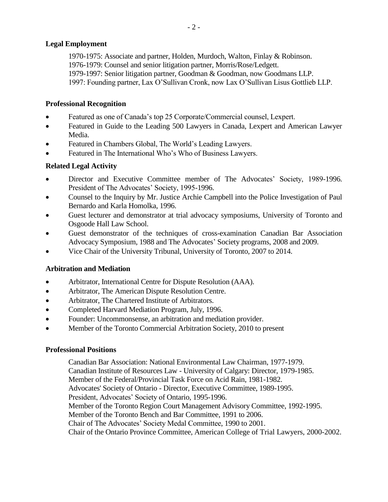## **Legal Employment**

1970-1975: Associate and partner, Holden, Murdoch, Walton, Finlay & Robinson. 1976-1979: Counsel and senior litigation partner, Morris/Rose/Ledgett. 1979-1997: Senior litigation partner, Goodman & Goodman, now Goodmans LLP. 1997: Founding partner, Lax O'Sullivan Cronk, now Lax O'Sullivan Lisus Gottlieb LLP.

## **Professional Recognition**

- Featured as one of Canada's top 25 Corporate/Commercial counsel, Lexpert.
- Featured in Guide to the Leading 500 Lawyers in Canada, Lexpert and American Lawyer Media.
- Featured in Chambers Global, The World's Leading Lawyers.
- Featured in The International Who's Who of Business Lawyers.

## **Related Legal Activity**

- Director and Executive Committee member of The Advocates' Society, 1989-1996. President of The Advocates' Society, 1995-1996.
- Counsel to the Inquiry by Mr. Justice Archie Campbell into the Police Investigation of Paul Bernardo and Karla Homolka, 1996.
- Guest lecturer and demonstrator at trial advocacy symposiums, University of Toronto and Osgoode Hall Law School.
- Guest demonstrator of the techniques of cross-examination Canadian Bar Association Advocacy Symposium, 1988 and The Advocates' Society programs, 2008 and 2009.
- Vice Chair of the University Tribunal, University of Toronto, 2007 to 2014.

# **Arbitration and Mediation**

- Arbitrator, International Centre for Dispute Resolution (AAA).
- Arbitrator, The American Dispute Resolution Centre.
- Arbitrator, The Chartered Institute of Arbitrators.
- Completed Harvard Mediation Program, July, 1996.
- Founder: Uncommonsense, an arbitration and mediation provider.
- Member of the Toronto Commercial Arbitration Society, 2010 to present

### **Professional Positions**

Canadian Bar Association: National Environmental Law Chairman, 1977-1979. Canadian Institute of Resources Law - University of Calgary: Director, 1979-1985. Member of the Federal/Provincial Task Force on Acid Rain, 1981-1982. Advocates' Society of Ontario - Director, Executive Committee, 1989-1995. President, Advocates' Society of Ontario, 1995-1996. Member of the Toronto Region Court Management Advisory Committee, 1992-1995. Member of the Toronto Bench and Bar Committee, 1991 to 2006. Chair of The Advocates' Society Medal Committee, 1990 to 2001. Chair of the Ontario Province Committee, American College of Trial Lawyers, 2000-2002.